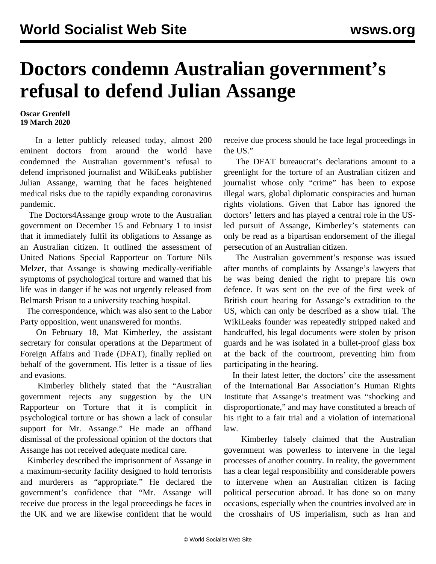## **Doctors condemn Australian government's refusal to defend Julian Assange**

## **Oscar Grenfell 19 March 2020**

 In a [letter](https://doctorsassange.org/doctors-for-assange-reply-to-australian-government-march-2020/) publicly released today, almost 200 eminent doctors from around the world have condemned the Australian government's refusal to defend imprisoned journalist and WikiLeaks publisher Julian Assange, warning that he faces heightened medical risks due to the rapidly expanding coronavirus pandemic.

 The Doctors4Assange group wrote to the Australian government on December 15 and February 1 to insist that it immediately fulfil its obligations to Assange as an Australian citizen. It outlined the assessment of United Nations Special Rapporteur on Torture Nils Melzer, that Assange is showing medically-verifiable symptoms of psychological torture and warned that his life was in danger if he was not urgently released from Belmarsh Prison to a university teaching hospital.

 The correspondence, which was also sent to the Labor Party opposition, went unanswered for months.

 On February 18, Mat Kimberley, the assistant secretary for consular operations at the Department of Foreign Affairs and Trade (DFAT), finally replied on behalf of the government. His [letter](https://doctorsassange.org/australian-government-reply-to-doctors-for-assange-february-2020/) is a tissue of lies and evasions.

 Kimberley blithely stated that the "Australian government rejects any suggestion by the UN Rapporteur on Torture that it is complicit in psychological torture or has shown a lack of consular support for Mr. Assange." He made an offhand dismissal of the professional opinion of the doctors that Assange has not received adequate medical care.

 Kimberley described the imprisonment of Assange in a maximum-security facility designed to hold terrorists and murderers as "appropriate." He declared the government's confidence that "Mr. Assange will receive due process in the legal proceedings he faces in the UK and we are likewise confident that he would receive due process should he face legal proceedings in the US."

 The DFAT bureaucrat's declarations amount to a greenlight for the torture of an Australian citizen and journalist whose only "crime" has been to expose illegal wars, global diplomatic conspiracies and human rights violations. Given that Labor has ignored the doctors' letters and has played a central role in the USled pursuit of Assange, Kimberley's statements can only be read as a bipartisan endorsement of the illegal persecution of an Australian citizen.

 The Australian government's response was issued after months of complaints by Assange's lawyers that he was being denied the right to prepare his own defence. It was sent on the eve of the first week of British court hearing for Assange's extradition to the US, which can only be described as a show trial. The WikiLeaks founder was repeatedly stripped naked and handcuffed, his legal documents were stolen by prison guards and he was isolated in a bullet-proof glass box at the back of the courtroom, preventing him from participating in the hearing.

 In their latest letter, the doctors' cite the [assessment](https://www.ibanet.org/Article/NewDetail.aspx?ArticleUid=c05c57ee-1fee-47dc-99f9-26824208a750) of the International Bar Association's Human Rights Institute that Assange's treatment was "shocking and disproportionate," and may have constituted a breach of his right to a fair trial and a violation of international law.

 Kimberley falsely claimed that the Australian government was powerless to intervene in the legal processes of another country. In reality, the government has a clear legal responsibility and considerable powers to intervene when an Australian citizen is facing political persecution abroad. It has done so on many occasions, especially when the countries involved are in the crosshairs of US imperialism, such as Iran and